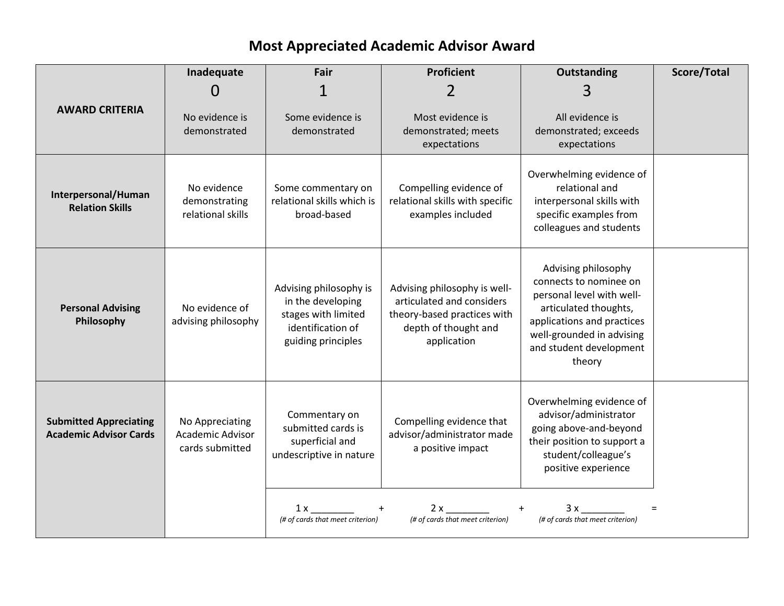## **Most Appreciated Academic Advisor Award**

|                                                                | Inadequate                                             | Fair                                                                                                          | <b>Proficient</b>                                                                                                               | <b>Outstanding</b>                                                                                                                                                                                  | Score/Total |
|----------------------------------------------------------------|--------------------------------------------------------|---------------------------------------------------------------------------------------------------------------|---------------------------------------------------------------------------------------------------------------------------------|-----------------------------------------------------------------------------------------------------------------------------------------------------------------------------------------------------|-------------|
|                                                                | O                                                      |                                                                                                               | 2                                                                                                                               | 3                                                                                                                                                                                                   |             |
| <b>AWARD CRITERIA</b>                                          | No evidence is<br>demonstrated                         | Some evidence is<br>demonstrated                                                                              | Most evidence is<br>demonstrated; meets<br>expectations                                                                         | All evidence is<br>demonstrated; exceeds<br>expectations                                                                                                                                            |             |
| Interpersonal/Human<br><b>Relation Skills</b>                  | No evidence<br>demonstrating<br>relational skills      | Some commentary on<br>relational skills which is<br>broad-based                                               | Compelling evidence of<br>relational skills with specific<br>examples included                                                  | Overwhelming evidence of<br>relational and<br>interpersonal skills with<br>specific examples from<br>colleagues and students                                                                        |             |
| <b>Personal Advising</b><br>Philosophy                         | No evidence of<br>advising philosophy                  | Advising philosophy is<br>in the developing<br>stages with limited<br>identification of<br>guiding principles | Advising philosophy is well-<br>articulated and considers<br>theory-based practices with<br>depth of thought and<br>application | Advising philosophy<br>connects to nominee on<br>personal level with well-<br>articulated thoughts,<br>applications and practices<br>well-grounded in advising<br>and student development<br>theory |             |
| <b>Submitted Appreciating</b><br><b>Academic Advisor Cards</b> | No Appreciating<br>Academic Advisor<br>cards submitted | Commentary on<br>submitted cards is<br>superficial and<br>undescriptive in nature                             | Compelling evidence that<br>advisor/administrator made<br>a positive impact                                                     | Overwhelming evidence of<br>advisor/administrator<br>going above-and-beyond<br>their position to support a<br>student/colleague's<br>positive experience                                            |             |
|                                                                |                                                        | 1 x<br>(# of cards that meet criterion)                                                                       | 2x<br>(# of cards that meet criterion)                                                                                          | 3x<br>(# of cards that meet criterion)                                                                                                                                                              | $=$         |